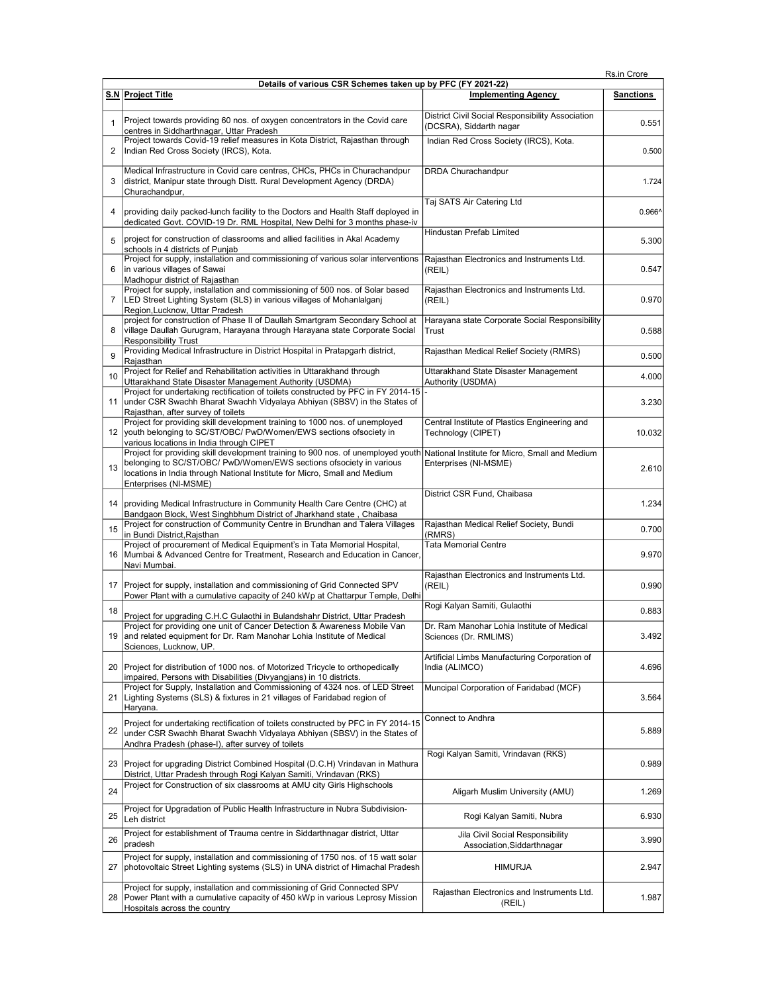| Rs.in Crore |
|-------------|
|-------------|

|                | Details of various CSR Schemes taken up by PFC (FY 2021-22)                                                                                                                                                                                                   |                                                                             |                  |  |
|----------------|---------------------------------------------------------------------------------------------------------------------------------------------------------------------------------------------------------------------------------------------------------------|-----------------------------------------------------------------------------|------------------|--|
|                | S.N Project Title                                                                                                                                                                                                                                             | <b>Implementing Agency</b>                                                  | <b>Sanctions</b> |  |
| $\mathbf{1}$   | Project towards providing 60 nos. of oxygen concentrators in the Covid care<br>centres in Siddharthnagar, Uttar Pradesh                                                                                                                                       | District Civil Social Responsibility Association<br>(DCSRA), Siddarth nagar | 0.551            |  |
| 2              | Project towards Covid-19 relief measures in Kota District, Rajasthan through<br>Indian Red Cross Society (IRCS), Kota.                                                                                                                                        | Indian Red Cross Society (IRCS), Kota.                                      | 0.500            |  |
| 3              | Medical Infrastructure in Covid care centres, CHCs, PHCs in Churachandpur<br>district, Manipur state through Distt. Rural Development Agency (DRDA)<br>Churachandpur,                                                                                         | DRDA Churachandpur                                                          | 1.724            |  |
| 4              | providing daily packed-lunch facility to the Doctors and Health Staff deployed in<br>dedicated Govt. COVID-19 Dr. RML Hospital, New Delhi for 3 months phase-iv                                                                                               | Taj SATS Air Catering Ltd                                                   | 0.966^           |  |
| 5              | project for construction of classrooms and allied facilities in Akal Academy<br>schools in 4 districts of Puniab                                                                                                                                              | <b>Hindustan Prefab Limited</b>                                             | 5.300            |  |
| 6              | Project for supply, installation and commissioning of various solar interventions<br>in various villages of Sawai<br>Madhopur district of Rajasthan                                                                                                           | Rajasthan Electronics and Instruments Ltd.<br>(REIL)                        | 0.547            |  |
| $\overline{7}$ | Project for supply, installation and commissioning of 500 nos. of Solar based<br>LED Street Lighting System (SLS) in various villages of Mohanlalganj<br>Region, Lucknow, Uttar Pradesh                                                                       | Rajasthan Electronics and Instruments Ltd.<br>(REIL)                        | 0.970            |  |
| 8              | project for construction of Phase II of Daullah Smartgram Secondary School at<br>village Daullah Gurugram, Harayana through Harayana state Corporate Social<br><b>Responsibility Trust</b>                                                                    | Harayana state Corporate Social Responsibility<br>Trust                     | 0.588            |  |
| 9              | Providing Medical Infrastructure in District Hospital in Pratapgarh district,<br>Rajasthan                                                                                                                                                                    | Rajasthan Medical Relief Society (RMRS)                                     | 0.500            |  |
| 10             | Project for Relief and Rehabilitation activities in Uttarakhand through<br>Uttarakhand State Disaster Management Authority (USDMA)                                                                                                                            | Uttarakhand State Disaster Management<br>Authority (USDMA)                  | 4.000            |  |
| 11             | Project for undertaking rectification of toilets constructed by PFC in FY 2014-15<br>under CSR Swachh Bharat Swachh Vidyalaya Abhiyan (SBSV) in the States of<br>Rajasthan, after survey of toilets                                                           |                                                                             | 3.230            |  |
| 12             | Project for providing skill development training to 1000 nos. of unemployed<br>vouth belonging to SC/ST/OBC/ PwD/Women/EWS sections of society in<br>various locations in India through CIPET                                                                 | Central Institute of Plastics Engineering and<br>Technology (CIPET)         | 10.032           |  |
| 13             | Project for providing skill development training to 900 nos. of unemployed youth<br>belonging to SC/ST/OBC/ PwD/Women/EWS sections ofsociety in various<br>locations in India through National Institute for Micro, Small and Medium<br>Enterprises (NI-MSME) | National Institute for Micro, Small and Medium<br>Enterprises (NI-MSME)     | 2.610            |  |
| 14             | providing Medical Infrastructure in Community Health Care Centre (CHC) at<br>Bandgaon Block, West Singhbhum District of Jharkhand state, Chaibasa                                                                                                             | District CSR Fund, Chaibasa                                                 | 1.234            |  |
| 15             | Project for construction of Community Centre in Brundhan and Talera Villages<br>in Bundi District, Rajsthan                                                                                                                                                   | Rajasthan Medical Relief Society, Bundi<br>(RMRS)                           | 0.700            |  |
| 16             | Project of procurement of Medical Equipment's in Tata Memorial Hospital,<br>Mumbai & Advanced Centre for Treatment, Research and Education in Cancer,<br>Navi Mumbai.                                                                                         | <b>Tata Memorial Centre</b>                                                 | 9.970            |  |
| 17             | Project for supply, installation and commissioning of Grid Connected SPV<br>Power Plant with a cumulative capacity of 240 kWp at Chattarpur Temple, Delhi                                                                                                     | Rajasthan Electronics and Instruments Ltd.<br>(REIL)                        | 0.990            |  |
| 18             | Project for upgrading C.H.C Gulaothi in Bulandshahr District, Uttar Pradesh                                                                                                                                                                                   | Rogi Kalyan Samiti, Gulaothi                                                | 0.883            |  |
| 19             | Project for providing one unit of Cancer Detection & Awareness Mobile Van<br>and related equipment for Dr. Ram Manohar Lohia Institute of Medical<br>Sciences, Lucknow, UP.                                                                                   | Dr. Ram Manohar Lohia Institute of Medical<br>Sciences (Dr. RMLIMS)         | 3.492            |  |
| 20             | Project for distribution of 1000 nos. of Motorized Tricycle to orthopedically<br>impaired, Persons with Disabilities (Divyangjans) in 10 districts.                                                                                                           | Artificial Limbs Manufacturing Corporation of<br>India (ALIMCO)             | 4.696            |  |
| 21             | Project for Supply, Installation and Commissioning of 4324 nos. of LED Street<br>Lighting Systems (SLS) & fixtures in 21 villages of Faridabad region of<br>Haryana.                                                                                          | Muncipal Corporation of Faridabad (MCF)                                     | 3.564            |  |
| 22             | Project for undertaking rectification of toilets constructed by PFC in FY 2014-15<br>under CSR Swachh Bharat Swachh Vidyalaya Abhiyan (SBSV) in the States of<br>Andhra Pradesh (phase-I), after survey of toilets                                            | Connect to Andhra                                                           | 5.889            |  |
| 23             | Project for upgrading District Combined Hospital (D.C.H) Vrindavan in Mathura<br>District, Uttar Pradesh through Rogi Kalyan Samiti, Vrindavan (RKS)                                                                                                          | Rogi Kalyan Samiti, Vrindavan (RKS)                                         | 0.989            |  |
| 24             | Project for Construction of six classrooms at AMU city Girls Highschools                                                                                                                                                                                      | Aligarh Muslim University (AMU)                                             | 1.269            |  |
| 25             | Project for Upgradation of Public Health Infrastructure in Nubra Subdivision-<br>Leh district                                                                                                                                                                 | Rogi Kalyan Samiti, Nubra                                                   | 6.930            |  |
| 26             | Project for establishment of Trauma centre in Siddarthnagar district, Uttar<br>pradesh                                                                                                                                                                        | Jila Civil Social Responsibility<br>Association, Siddarthnagar              | 3.990            |  |
| 27             | Project for supply, installation and commissioning of 1750 nos. of 15 watt solar<br>photovoltaic Street Lighting systems (SLS) in UNA district of Himachal Pradesh                                                                                            | <b>HIMURJA</b>                                                              | 2.947            |  |
| 28             | Project for supply, installation and commissioning of Grid Connected SPV<br>Power Plant with a cumulative capacity of 450 kWp in various Leprosy Mission<br>Hospitals across the country                                                                      | Rajasthan Electronics and Instruments Ltd.<br>(REIL)                        | 1.987            |  |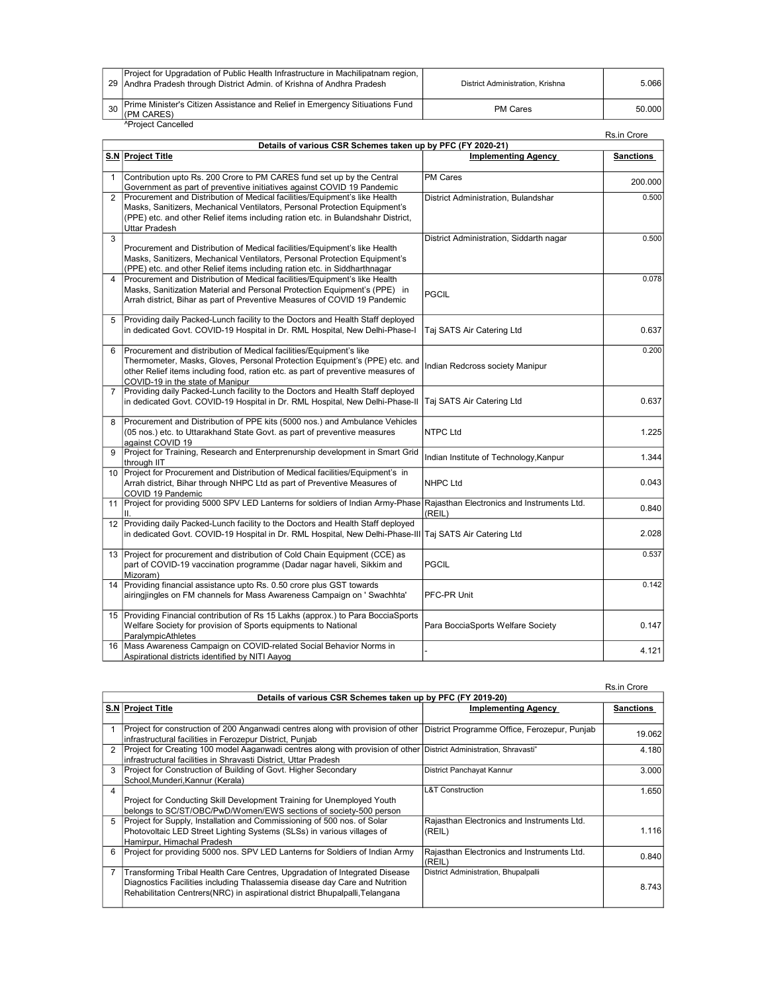| Project for Upgradation of Public Health Infrastructure in Machilipatnam region,  <br>29   Andhra Pradesh through District Admin. of Krishna of Andhra Pradesh | District Administration, Krishna | 5.066  |
|----------------------------------------------------------------------------------------------------------------------------------------------------------------|----------------------------------|--------|
| 30 Prime Minister's Citizen Assistance and Relief in Emergency Sitiuations Fund<br>(PM CARES)                                                                  | <b>PM Cares</b>                  | 50.000 |
| <sup>^</sup> Proiect Cancelled                                                                                                                                 |                                  |        |

|                         | ו וטוטטג טעווטטווטט                                                                                                                                                                                                                                                       |                                                      | Rs.in Crore      |  |
|-------------------------|---------------------------------------------------------------------------------------------------------------------------------------------------------------------------------------------------------------------------------------------------------------------------|------------------------------------------------------|------------------|--|
|                         | Details of various CSR Schemes taken up by PFC (FY 2020-21)                                                                                                                                                                                                               |                                                      |                  |  |
|                         | S.N Project Title                                                                                                                                                                                                                                                         | <b>Implementing Agency</b>                           | <b>Sanctions</b> |  |
| $\mathbf{1}$            | Contribution upto Rs. 200 Crore to PM CARES fund set up by the Central<br>Government as part of preventive initiatives against COVID 19 Pandemic                                                                                                                          | <b>PM Cares</b>                                      | 200.000          |  |
| 2                       | Procurement and Distribution of Medical facilities/Equipment's like Health<br>Masks, Sanitizers, Mechanical Ventilators, Personal Protection Equipment's<br>(PPE) etc. and other Relief items including ration etc. in Bulandshahr District,<br><b>Uttar Pradesh</b>      | District Administration, Bulandshar                  | 0.500            |  |
| 3                       | Procurement and Distribution of Medical facilities/Equipment's like Health<br>Masks, Sanitizers, Mechanical Ventilators, Personal Protection Equipment's<br>(PPE) etc. and other Relief items including ration etc. in Siddharthnagar                                     | District Administration, Siddarth nagar              | 0.500            |  |
| $\overline{\mathbf{A}}$ | Procurement and Distribution of Medical facilities/Equipment's like Health<br>Masks, Sanitization Material and Personal Protection Equipment's (PPE) in<br>Arrah district, Bihar as part of Preventive Measures of COVID 19 Pandemic                                      | <b>PGCIL</b>                                         | 0.078            |  |
| 5                       | Providing daily Packed-Lunch facility to the Doctors and Health Staff deployed<br>in dedicated Govt. COVID-19 Hospital in Dr. RML Hospital, New Delhi-Phase-I                                                                                                             | Taj SATS Air Catering Ltd                            | 0.637            |  |
| 6                       | Procurement and distribution of Medical facilities/Equipment's like<br>Thermometer, Masks, Gloves, Personal Protection Equipment's (PPE) etc. and<br>other Relief items including food, ration etc. as part of preventive measures of<br>COVID-19 in the state of Manipur | Indian Redcross society Manipur                      | 0.200            |  |
| $\overline{7}$          | Providing daily Packed-Lunch facility to the Doctors and Health Staff deployed<br>in dedicated Govt. COVID-19 Hospital in Dr. RML Hospital, New Delhi-Phase-II                                                                                                            | Taj SATS Air Catering Ltd                            | 0.637            |  |
| 8                       | Procurement and Distribution of PPE kits (5000 nos.) and Ambulance Vehicles<br>(05 nos.) etc. to Uttarakhand State Govt. as part of preventive measures<br>against COVID 19                                                                                               | <b>NTPC Ltd</b>                                      | 1.225            |  |
| 9                       | Project for Training, Research and Enterprenurship development in Smart Grid<br>through IIT                                                                                                                                                                               | Indian Institute of Technology, Kanpur               | 1.344            |  |
|                         | 10 Project for Procurement and Distribution of Medical facilities/Equipment's in<br>Arrah district, Bihar through NHPC Ltd as part of Preventive Measures of<br>COVID 19 Pandemic                                                                                         | <b>NHPC Ltd</b>                                      | 0.043            |  |
| 11                      | Project for providing 5000 SPV LED Lanterns for soldiers of Indian Army-Phase<br>Ш.                                                                                                                                                                                       | Rajasthan Electronics and Instruments Ltd.<br>(REIL) | 0.840            |  |
| 12                      | Providing daily Packed-Lunch facility to the Doctors and Health Staff deployed<br>in dedicated Govt. COVID-19 Hospital in Dr. RML Hospital, New Delhi-Phase-III Taj SATS Air Catering Ltd                                                                                 |                                                      | 2.028            |  |
| 13                      | Project for procurement and distribution of Cold Chain Equipment (CCE) as<br>part of COVID-19 vaccination programme (Dadar nagar haveli, Sikkim and<br>Mizoram)                                                                                                           | <b>PGCIL</b>                                         | 0.537            |  |
| 14                      | Providing financial assistance upto Rs. 0.50 crore plus GST towards<br>airingjingles on FM channels for Mass Awareness Campaign on ' Swachhta'                                                                                                                            | PFC-PR Unit                                          | 0.142            |  |
| 15                      | Providing Financial contribution of Rs 15 Lakhs (approx.) to Para BocciaSports<br>Welfare Society for provision of Sports equipments to National<br>ParalympicAthletes                                                                                                    | Para BocciaSports Welfare Society                    | 0.147            |  |
| 16                      | Mass Awareness Campaign on COVID-related Social Behavior Norms in<br>Aspirational districts identified by NITI Aayog                                                                                                                                                      |                                                      | 4.121            |  |

|                |                                                                                                                               |                                            | Rs.in Crore      |
|----------------|-------------------------------------------------------------------------------------------------------------------------------|--------------------------------------------|------------------|
|                | Details of various CSR Schemes taken up by PFC (FY 2019-20)                                                                   |                                            |                  |
|                | S.N Project Title                                                                                                             | <b>Implementing Agency</b>                 | <b>Sanctions</b> |
|                |                                                                                                                               |                                            |                  |
|                | Project for construction of 200 Anganwadi centres along with provision of other  District Programme Office, Ferozepur, Punjab |                                            | 19.062           |
|                | infrastructural facilities in Ferozepur District, Punjab                                                                      |                                            |                  |
| $\mathfrak{p}$ | Project for Creating 100 model Aaganwadi centres along with provision of other District Administration, Shravasti"            |                                            | 4.180            |
|                | Infrastructural facilities in Shravasti District. Uttar Pradesh                                                               |                                            |                  |
| 3              | Project for Construction of Building of Govt. Higher Secondary                                                                | District Panchayat Kannur                  | 3.000            |
|                | School, Munderi, Kannur (Kerala)                                                                                              |                                            |                  |
| 4              |                                                                                                                               | <b>L&amp;T Construction</b>                | 1.650            |
|                | Project for Conducting Skill Development Training for Unemployed Youth                                                        |                                            |                  |
|                | belongs to SC/ST/OBC/PwD/Women/EWS sections of society-500 person                                                             |                                            |                  |
| 5              | Project for Supply, Installation and Commissioning of 500 nos. of Solar                                                       | Rajasthan Electronics and Instruments Ltd. |                  |
|                | Photovoltaic LED Street Lighting Systems (SLSs) in various villages of                                                        | (REIL)                                     | 1.116            |
|                | Hamirpur, Himachal Pradesh                                                                                                    |                                            |                  |
| 6              | Project for providing 5000 nos. SPV LED Lanterns for Soldiers of Indian Army                                                  | Rajasthan Electronics and Instruments Ltd. | 0.840            |
|                |                                                                                                                               | (REIL)                                     |                  |
|                | Transforming Tribal Health Care Centres, Upgradation of Integrated Disease                                                    | District Administration, Bhupalpalli       |                  |
|                | Diagnostics Facilities including Thalassemia disease day Care and Nutrition                                                   |                                            | 8.743            |
|                | Rehabilitation Centrers (NRC) in aspirational district Bhupalpalli, Telangana                                                 |                                            |                  |
|                |                                                                                                                               |                                            |                  |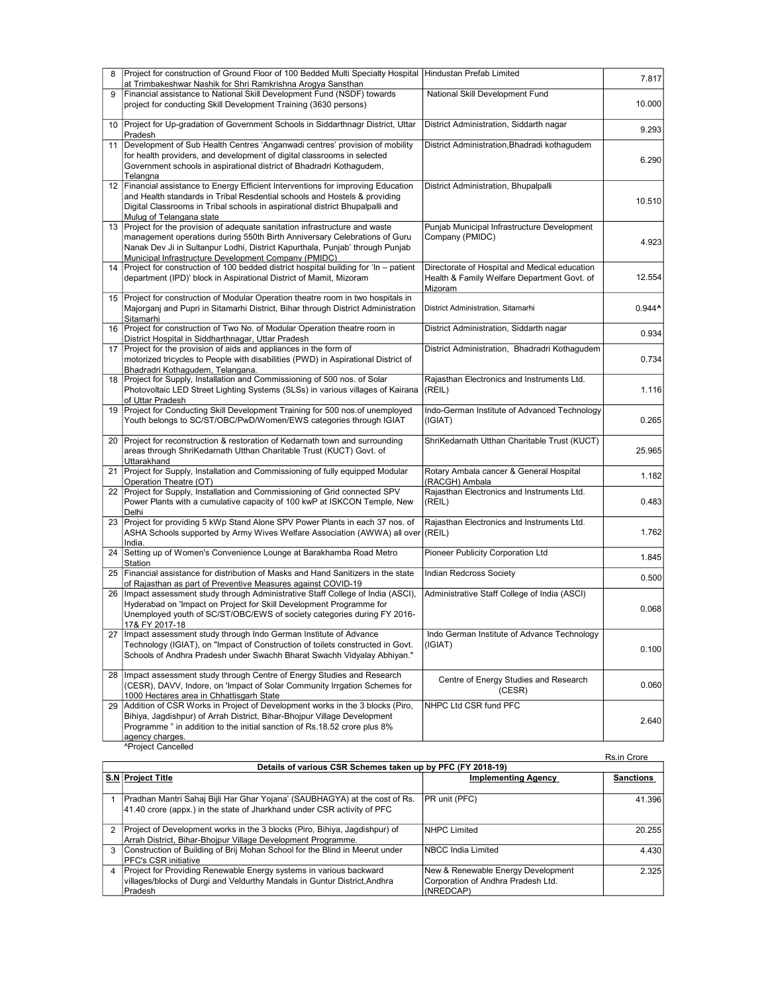| 8  | Project for construction of Ground Floor of 100 Bedded Multi Specialty Hospital   Hindustan Prefab Limited<br>at Trimbakeshwar Nashik for Shri Ramkrishna Arogya Sansthan                                                                                                            |                                                                | 7.817                |
|----|--------------------------------------------------------------------------------------------------------------------------------------------------------------------------------------------------------------------------------------------------------------------------------------|----------------------------------------------------------------|----------------------|
| 9  | Financial assistance to National Skill Development Fund (NSDF) towards                                                                                                                                                                                                               | National Skill Development Fund                                |                      |
|    | project for conducting Skill Development Training (3630 persons)                                                                                                                                                                                                                     |                                                                | 10.000               |
| 10 | Project for Up-gradation of Government Schools in Siddarthnagr District, Uttar<br>Pradesh                                                                                                                                                                                            | District Administration, Siddarth nagar                        | 9.293                |
| 11 | Development of Sub Health Centres 'Anganwadi centres' provision of mobility                                                                                                                                                                                                          | District Administration, Bhadradi kothagudem                   |                      |
|    | for health providers, and development of digital classrooms in selected<br>Government schools in aspirational district of Bhadradri Kothagudem,                                                                                                                                      |                                                                | 6.290                |
| 12 | Telangna<br>Financial assistance to Energy Efficient Interventions for improving Education                                                                                                                                                                                           | District Administration, Bhupalpalli                           |                      |
|    | and Health standards in Tribal Resdential schools and Hostels & providing<br>Digital Classrooms in Tribal schools in aspirational district Bhupalpalli and<br>Mulug of Telangana state                                                                                               |                                                                | 10.510               |
|    | 13 Project for the provision of adequate sanitation infrastructure and waste<br>management operations during 550th Birth Anniversary Celebrations of Guru                                                                                                                            | Punjab Municipal Infrastructure Development<br>Company (PMIDC) |                      |
|    | Nanak Dev Ji in Sultanpur Lodhi, District Kapurthala, Punjab' through Punjab<br>Municipal Infrastructure Development Company (PMIDC)                                                                                                                                                 |                                                                | 4.923                |
|    | 14   Project for construction of 100 bedded district hospital building for 'In - patient                                                                                                                                                                                             | Directorate of Hospital and Medical education                  |                      |
|    | department (IPD)' block in Aspirational District of Mamit, Mizoram                                                                                                                                                                                                                   | Health & Family Welfare Department Govt. of<br>Mizoram         | 12.554               |
| 15 | Project for construction of Modular Operation theatre room in two hospitals in<br>Majorganj and Pupri in Sitamarhi District, Bihar through District Administration<br>Sitamarhi                                                                                                      | District Administration, Sitamarhi                             | $0.944$ <sup>^</sup> |
| 16 | Project for construction of Two No. of Modular Operation theatre room in<br>District Hospital in Siddharthnagar, Uttar Pradesh                                                                                                                                                       | District Administration, Siddarth nagar                        | 0.934                |
|    | 17 Project for the provision of aids and appliances in the form of                                                                                                                                                                                                                   | District Administration, Bhadradri Kothagudem                  |                      |
|    | motorized tricycles to People with disabilities (PWD) in Aspirational District of<br>Bhadradri Kothaqudem, Telangana.                                                                                                                                                                |                                                                | 0.734                |
|    | 18 Project for Supply, Installation and Commissioning of 500 nos. of Solar                                                                                                                                                                                                           | Rajasthan Electronics and Instruments Ltd.                     |                      |
|    | Photovoltaic LED Street Lighting Systems (SLSs) in various villages of Kairana<br>of Uttar Pradesh                                                                                                                                                                                   | (REIL)                                                         | 1.116                |
| 19 | Project for Conducting Skill Development Training for 500 nos. of unemployed<br>Youth belongs to SC/ST/OBC/PwD/Women/EWS categories through IGIAT                                                                                                                                    | Indo-German Institute of Advanced Technology<br>(IGIAT)        | 0.265                |
| 20 | Project for reconstruction & restoration of Kedarnath town and surrounding<br>areas through ShriKedarnath Utthan Charitable Trust (KUCT) Govt. of<br>Uttarakhand                                                                                                                     | ShriKedarnath Utthan Charitable Trust (KUCT)                   | 25.965               |
| 21 | Project for Supply, Installation and Commissioning of fully equipped Modular<br>Operation Theatre (OT)                                                                                                                                                                               | Rotary Ambala cancer & General Hospital<br>(RACGH) Ambala      | 1.182                |
|    | 22 Project for Supply, Installation and Commissioning of Grid connected SPV                                                                                                                                                                                                          | Rajasthan Electronics and Instruments Ltd.                     |                      |
|    | Power Plants with a cumulative capacity of 100 kwP at ISKCON Temple, New<br>Delhi                                                                                                                                                                                                    | (REIL)                                                         | 0.483                |
|    | 23 Project for providing 5 kWp Stand Alone SPV Power Plants in each 37 nos. of<br>ASHA Schools supported by Army Wives Welfare Association (AWWA) all over ((REIL)                                                                                                                   | Rajasthan Electronics and Instruments Ltd.                     | 1.762                |
|    | India.                                                                                                                                                                                                                                                                               |                                                                |                      |
|    | 24 Setting up of Women's Convenience Lounge at Barakhamba Road Metro<br>Station                                                                                                                                                                                                      | Pioneer Publicity Corporation Ltd                              | 1.845                |
| 25 | Financial assistance for distribution of Masks and Hand Sanitizers in the state<br>of Rajasthan as part of Preventive Measures against COVID-19                                                                                                                                      | <b>Indian Redcross Society</b>                                 | 0.500                |
| 26 | Impact assessment study through Administrative Staff College of India (ASCI),<br>Hyderabad on 'Impact on Project for Skill Development Programme for<br>Unemployed youth of SC/ST/OBC/EWS of society categories during FY 2016-<br>17& FY 2017-18                                    | Administrative Staff College of India (ASCI)                   | 0.068                |
|    | 27   Impact assessment study through Indo German Institute of Advance<br>Technology (IGIAT), on "Impact of Construction of toilets constructed in Govt.<br>Schools of Andhra Pradesh under Swachh Bharat Swachh Vidyalay Abhiyan."                                                   | Indo German Institute of Advance Technology<br>(IGIAT)         | 0.100                |
| 28 | Impact assessment study through Centre of Energy Studies and Research<br>(CESR), DAVV, Indore, on 'Impact of Solar Community Irrgation Schemes for<br>1000 Hectares area in Chhattisgarh State                                                                                       | Centre of Energy Studies and Research<br>(CESR)                | 0.060                |
| 29 | Addition of CSR Works in Project of Development works in the 3 blocks (Piro,<br>Bihiya, Jagdishpur) of Arrah District, Bihar-Bhojpur Village Development<br>Programme" in addition to the initial sanction of Rs.18.52 crore plus 8%<br>agency charges.<br><b>^Project Cancelled</b> | NHPC Ltd CSR fund PFC                                          | 2.640                |

|   | <u>I IVICUL OUIIUCIICU</u>                                                  |                                    | Rs.in Crore      |
|---|-----------------------------------------------------------------------------|------------------------------------|------------------|
|   | Details of various CSR Schemes taken up by PFC (FY 2018-19)                 |                                    |                  |
|   | S.N Project Title                                                           | <b>Implementing Agency</b>         | <b>Sanctions</b> |
|   |                                                                             |                                    |                  |
|   | Pradhan Mantri Sahaj Bijli Har Ghar Yojana' (SAUBHAGYA) at the cost of Rs.  | PR unit (PFC)                      | 41.396           |
|   | 41.40 crore (appx.) in the state of Jharkhand under CSR activity of PFC     |                                    |                  |
|   |                                                                             |                                    |                  |
| 2 | Project of Development works in the 3 blocks (Piro, Bihiya, Jagdishpur) of  | <b>INHPC Limited</b>               | 20.255           |
|   | Arrah District, Bihar-Bhojpur Village Development Programme.                |                                    |                  |
| 3 | Construction of Building of Brij Mohan School for the Blind in Meerut under | INBCC India Limited                | 4.430            |
|   | <b>IPFC's CSR initiative</b>                                                |                                    |                  |
| 4 | Project for Providing Renewable Energy systems in various backward          | New & Renewable Energy Development | 2.325            |
|   | villages/blocks of Durgi and Veldurthy Mandals in Guntur District, Andhra   | Corporation of Andhra Pradesh Ltd. |                  |
|   | <b>Pradesh</b>                                                              | (NREDCAP)                          |                  |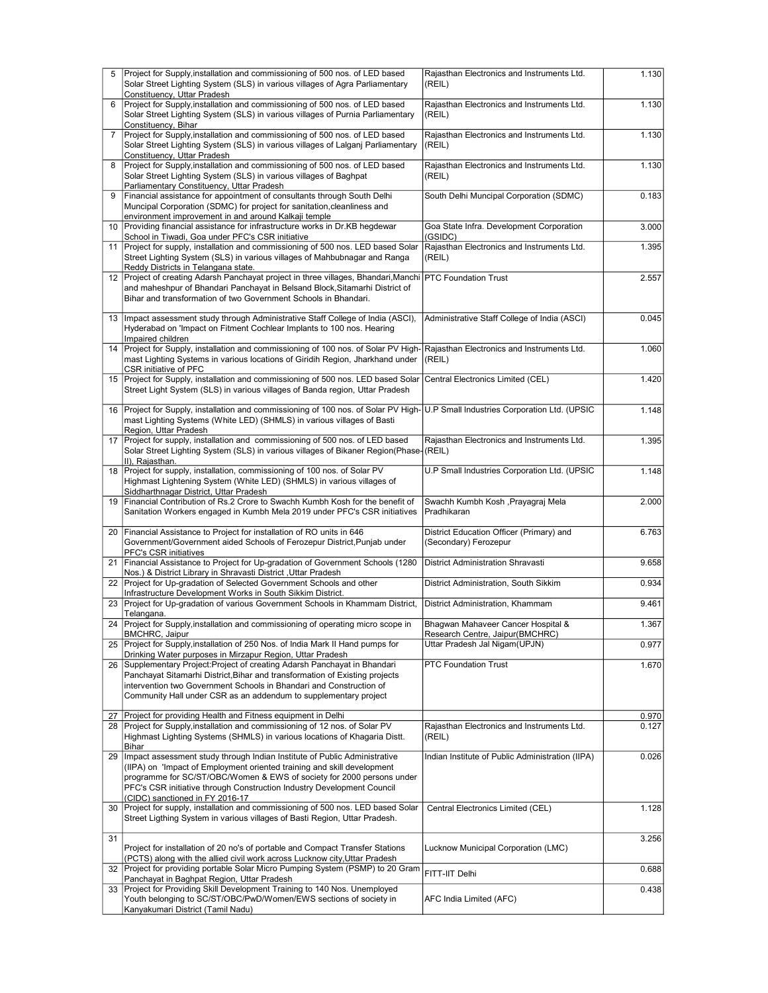| 5              | Project for Supply, installation and commissioning of 500 nos. of LED based                                                                                    | Rajasthan Electronics and Instruments Ltd.           | 1.130 |
|----------------|----------------------------------------------------------------------------------------------------------------------------------------------------------------|------------------------------------------------------|-------|
|                | Solar Street Lighting System (SLS) in various villages of Agra Parliamentary                                                                                   | (REIL)                                               |       |
|                | Constituency, Uttar Pradesh                                                                                                                                    |                                                      |       |
| 6              | Project for Supply, installation and commissioning of 500 nos. of LED based                                                                                    | Rajasthan Electronics and Instruments Ltd.           | 1.130 |
|                | Solar Street Lighting System (SLS) in various villages of Purnia Parliamentary                                                                                 | (REIL)                                               |       |
|                | Constituency, Bihar                                                                                                                                            |                                                      |       |
| $\overline{7}$ | Project for Supply, installation and commissioning of 500 nos. of LED based<br>Solar Street Lighting System (SLS) in various villages of Lalganj Parliamentary | Rajasthan Electronics and Instruments Ltd.<br>(REIL) | 1.130 |
|                | Constituency, Uttar Pradesh                                                                                                                                    |                                                      |       |
| 8              | Project for Supply, installation and commissioning of 500 nos. of LED based                                                                                    | Rajasthan Electronics and Instruments Ltd.           | 1.130 |
|                | Solar Street Lighting System (SLS) in various villages of Baghpat                                                                                              | (REIL)                                               |       |
|                | Parliamentary Constituency, Uttar Pradesh                                                                                                                      |                                                      |       |
| 9              | Financial assistance for appointment of consultants through South Delhi                                                                                        | South Delhi Muncipal Corporation (SDMC)              | 0.183 |
|                | Muncipal Corporation (SDMC) for project for sanitation, cleanliness and                                                                                        |                                                      |       |
|                | environment improvement in and around Kalkaji temple                                                                                                           |                                                      |       |
| 10             | Providing financial assistance for infrastructure works in Dr.KB hegdewar                                                                                      | Goa State Infra. Development Corporation<br>(GSIDC)  | 3.000 |
| 11             | School in Tiwadi, Goa under PFC's CSR initiative<br>Project for supply, installation and commissioning of 500 nos. LED based Solar                             | Rajasthan Electronics and Instruments Ltd.           | 1.395 |
|                | Street Lighting System (SLS) in various villages of Mahbubnagar and Ranga                                                                                      | (REIL)                                               |       |
|                | Reddy Districts in Telangana state.                                                                                                                            |                                                      |       |
|                | 12 Project of creating Adarsh Panchayat project in three villages, Bhandari, Manchi                                                                            | <b>PTC Foundation Trust</b>                          | 2.557 |
|                | and maheshpur of Bhandari Panchayat in Belsand Block, Sitamarhi District of                                                                                    |                                                      |       |
|                | Bihar and transformation of two Government Schools in Bhandari.                                                                                                |                                                      |       |
|                |                                                                                                                                                                |                                                      |       |
| 13             | Impact assessment study through Administrative Staff College of India (ASCI),                                                                                  | Administrative Staff College of India (ASCI)         | 0.045 |
|                | Hyderabad on 'Impact on Fitment Cochlear Implants to 100 nos. Hearing<br>Impaired children                                                                     |                                                      |       |
| 14             | Project for Supply, installation and commissioning of 100 nos. of Solar PV High-                                                                               | Rajasthan Electronics and Instruments Ltd.           | 1.060 |
|                | mast Lighting Systems in various locations of Giridih Region, Jharkhand under                                                                                  | (REIL)                                               |       |
|                | CSR initiative of PFC                                                                                                                                          |                                                      |       |
| 15             | Project for Supply, installation and commissioning of 500 nos. LED based Solar                                                                                 | Central Electronics Limited (CEL)                    | 1.420 |
|                | Street Light System (SLS) in various villages of Banda region, Uttar Pradesh                                                                                   |                                                      |       |
|                |                                                                                                                                                                |                                                      |       |
| 16             | Project for Supply, installation and commissioning of 100 nos. of Solar PV High- U.P Small Industries Corporation Ltd. (UPSIC                                  |                                                      | 1.148 |
|                | mast Lighting Systems (White LED) (SHMLS) in various villages of Basti<br>Region, Uttar Pradesh                                                                |                                                      |       |
| 17             | Project for supply, installation and commissioning of 500 nos. of LED based                                                                                    | Rajasthan Electronics and Instruments Ltd.           | 1.395 |
|                | Solar Street Lighting System (SLS) in various villages of Bikaner Region(Phase-(REIL)                                                                          |                                                      |       |
|                | II), Rajasthan.                                                                                                                                                |                                                      |       |
| 18             | Project for supply, installation, commissioning of 100 nos. of Solar PV                                                                                        | U.P Small Industries Corporation Ltd. (UPSIC         | 1.148 |
|                | Highmast Lightening System (White LED) (SHMLS) in various villages of                                                                                          |                                                      |       |
|                | Siddharthnagar District, Uttar Pradesh                                                                                                                         |                                                      |       |
| 19             | Financial Contribution of Rs.2 Crore to Swachh Kumbh Kosh for the benefit of<br>Sanitation Workers engaged in Kumbh Mela 2019 under PFC's CSR initiatives      | Swachh Kumbh Kosh , Prayagraj Mela<br>Pradhikaran    | 2.000 |
|                |                                                                                                                                                                |                                                      |       |
| 20             | Financial Assistance to Project for installation of RO units in 646                                                                                            | District Education Officer (Primary) and             | 6.763 |
|                | Government/Government aided Schools of Ferozepur District, Punjab under                                                                                        | (Secondary) Ferozepur                                |       |
|                | PFC's CSR initiatives                                                                                                                                          |                                                      |       |
| 21             | Financial Assistance to Project for Up-gradation of Government Schools (1280)                                                                                  | <b>District Administration Shravasti</b>             | 9.658 |
|                | Nos.) & District Library in Shravasti District, Uttar Pradesh                                                                                                  |                                                      |       |
| 22             | Project for Up-gradation of Selected Government Schools and other                                                                                              | District Administration, South Sikkim                | 0.934 |
| 23             | Infrastructure Development Works in South Sikkim District.<br>Project for Up-gradation of various Government Schools in Khammam District,                      | District Administration, Khammam                     | 9.461 |
|                | Telangana.                                                                                                                                                     |                                                      |       |
| 24             | Project for Supply, installation and commissioning of operating micro scope in                                                                                 | Bhagwan Mahaveer Cancer Hospital &                   | 1.367 |
|                | <b>BMCHRC, Jaipur</b>                                                                                                                                          | Research Centre, Jaipur(BMCHRC)                      |       |
| 25             | Project for Supply, installation of 250 Nos. of India Mark II Hand pumps for                                                                                   | Uttar Pradesh Jal Nigam(UPJN)                        | 0.977 |
|                | Drinking Water purposes in Mirzapur Region, Uttar Pradesh                                                                                                      |                                                      |       |
| 26             | Supplementary Project: Project of creating Adarsh Panchayat in Bhandari                                                                                        | <b>PTC Foundation Trust</b>                          | 1.670 |
|                | Panchayat Sitamarhi District, Bihar and transformation of Existing projects<br>intervention two Government Schools in Bhandari and Construction of             |                                                      |       |
|                | Community Hall under CSR as an addendum to supplementary project                                                                                               |                                                      |       |
|                |                                                                                                                                                                |                                                      |       |
| 27             | Project for providing Health and Fitness equipment in Delhi                                                                                                    |                                                      | 0.970 |
| 28             | Project for Supply, installation and commissioning of 12 nos. of Solar PV                                                                                      | Rajasthan Electronics and Instruments Ltd.           | 0.127 |
|                | Highmast Lighting Systems (SHMLS) in various locations of Khagaria Distt.                                                                                      | (REIL)                                               |       |
|                | Bihar                                                                                                                                                          |                                                      |       |
| 29             | Impact assessment study through Indian Institute of Public Administrative                                                                                      | Indian Institute of Public Administration (IIPA)     | 0.026 |
|                | (IIPA) on 'Impact of Employment oriented training and skill development<br>programme for SC/ST/OBC/Women & EWS of society for 2000 persons under               |                                                      |       |
|                | PFC's CSR initiative through Construction Industry Development Council                                                                                         |                                                      |       |
|                | (CIDC) sanctioned in FY 2016-17                                                                                                                                |                                                      |       |
| 30             | Project for supply, installation and commissioning of 500 nos. LED based Solar                                                                                 | Central Electronics Limited (CEL)                    | 1.128 |
|                | Street Ligthing System in various villages of Basti Region, Uttar Pradesh.                                                                                     |                                                      |       |
|                |                                                                                                                                                                |                                                      |       |
| 31             |                                                                                                                                                                |                                                      | 3.256 |
|                | Project for installation of 20 no's of portable and Compact Transfer Stations<br>(PCTS) along with the allied civil work across Lucknow city, Uttar Pradesh    | Lucknow Municipal Corporation (LMC)                  |       |
| 32             | Project for providing portable Solar Micro Pumping System (PSMP) to 20 Gram                                                                                    |                                                      | 0.688 |
|                | Panchayat in Baghpat Region, Uttar Pradesh                                                                                                                     | FITT-IIT Delhi                                       |       |
| 33             | Project for Providing Skill Development Training to 140 Nos. Unemployed                                                                                        |                                                      | 0.438 |
|                | Youth belonging to SC/ST/OBC/PwD/Women/EWS sections of society in                                                                                              | AFC India Limited (AFC)                              |       |
|                | Kanyakumari District (Tamil Nadu)                                                                                                                              |                                                      |       |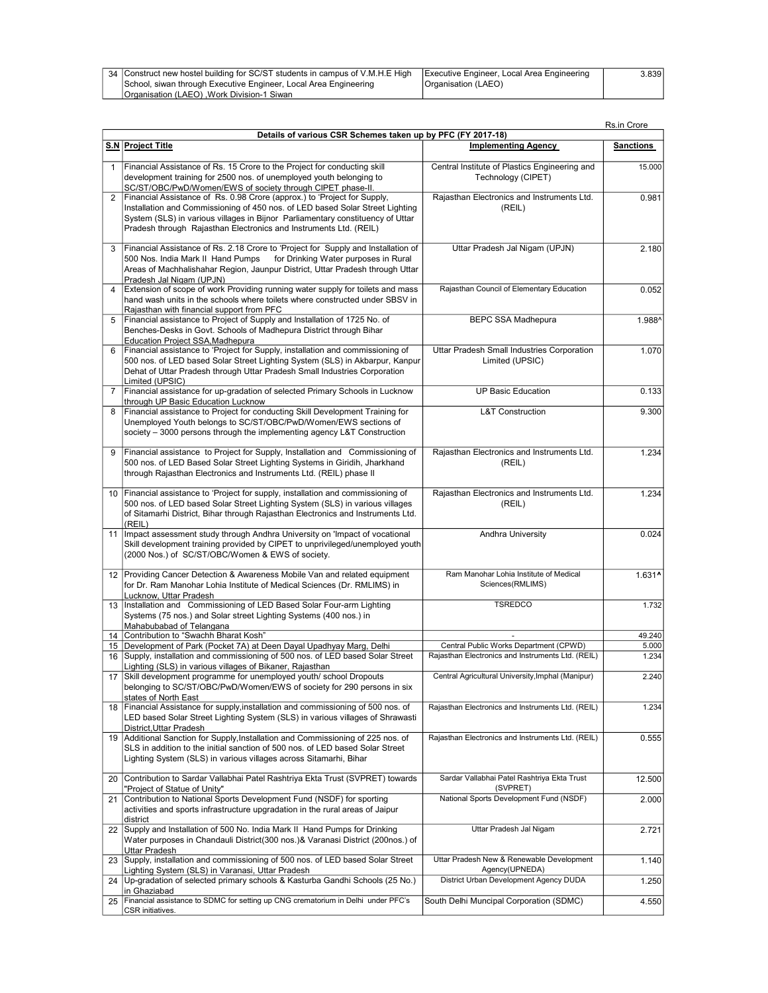| 34 Construct new hostel building for SC/ST students in campus of V.M.H.E High IExecutive Engineer, Local Area Engineering 3 |                     | 3.8391 |
|-----------------------------------------------------------------------------------------------------------------------------|---------------------|--------|
| School, siwan through Executive Engineer, Local Area Engineering                                                            | Organisation (LAEO) |        |
| <b>Organisation (LAEO)</b> Work Division-1 Siwan                                                                            |                     |        |

|                |                                                                                                                                                                                                                                                                                                                  |                                                                                             | Rs.in Crore          |
|----------------|------------------------------------------------------------------------------------------------------------------------------------------------------------------------------------------------------------------------------------------------------------------------------------------------------------------|---------------------------------------------------------------------------------------------|----------------------|
|                | Details of various CSR Schemes taken up by PFC (FY 2017-18)                                                                                                                                                                                                                                                      |                                                                                             |                      |
|                | S.N Project Title                                                                                                                                                                                                                                                                                                | <b>Implementing Agency</b>                                                                  | <b>Sanctions</b>     |
| 1              | Financial Assistance of Rs. 15 Crore to the Project for conducting skill<br>development training for 2500 nos. of unemployed youth belonging to<br>SC/ST/OBC/PwD/Women/EWS of society through CIPET phase-II.                                                                                                    | Central Institute of Plastics Engineering and<br>Technology (CIPET)                         | 15.000               |
| 2              | Financial Assistance of Rs. 0.98 Crore (approx.) to 'Project for Supply,<br>Installation and Commissioning of 450 nos. of LED based Solar Street Lighting<br>System (SLS) in various villages in Bijnor Parliamentary constituency of Uttar<br>Pradesh through Rajasthan Electronics and Instruments Ltd. (REIL) | Rajasthan Electronics and Instruments Ltd.<br>(REIL)                                        | 0.981                |
| 3              | Financial Assistance of Rs. 2.18 Crore to 'Project for Supply and Installation of<br>500 Nos. India Mark II Hand Pumps<br>for Drinking Water purposes in Rural<br>Areas of Machhalishahar Region, Jaunpur District, Uttar Pradesh through Uttar<br>Pradesh Jal Nigam (UPJN)                                      | Uttar Pradesh Jal Nigam (UPJN)                                                              | 2.180                |
| $\overline{4}$ | Extension of scope of work Providing running water supply for toilets and mass<br>hand wash units in the schools where toilets where constructed under SBSV in<br>Rajasthan with financial support from PFC                                                                                                      | Rajasthan Council of Elementary Education                                                   | 0.052                |
| 5              | Financial assistance to Project of Supply and Installation of 1725 No. of<br>Benches-Desks in Govt. Schools of Madhepura District through Bihar<br>Education Project SSA, Madhepura                                                                                                                              | <b>BEPC SSA Madhepura</b>                                                                   | 1.988^               |
| 6              | Financial assistance to 'Project for Supply, installation and commissioning of<br>500 nos. of LED based Solar Street Lighting System (SLS) in Akbarpur, Kanpur<br>Dehat of Uttar Pradesh through Uttar Pradesh Small Industries Corporation<br>Limited (UPSIC)                                                   | Uttar Pradesh Small Industries Corporation<br>Limited (UPSIC)                               | 1.070                |
| $\overline{7}$ | Financial assistance for up-gradation of selected Primary Schools in Lucknow<br>through UP Basic Education Lucknow                                                                                                                                                                                               | <b>UP Basic Education</b>                                                                   | 0.133                |
| 8              | Financial assistance to Project for conducting Skill Development Training for<br>Unemployed Youth belongs to SC/ST/OBC/PwD/Women/EWS sections of<br>society - 3000 persons through the implementing agency L&T Construction                                                                                      | <b>L&amp;T Construction</b>                                                                 | 9.300                |
| 9              | Financial assistance to Project for Supply, Installation and Commissioning of<br>500 nos. of LED Based Solar Street Lighting Systems in Giridih, Jharkhand<br>through Rajasthan Electronics and Instruments Ltd. (REIL) phase II                                                                                 | Rajasthan Electronics and Instruments Ltd.<br>(REIL)                                        | 1.234                |
| 10             | Financial assistance to 'Project for supply, installation and commissioning of<br>500 nos. of LED based Solar Street Lighting System (SLS) in various villages<br>of Sitamarhi District, Bihar through Rajasthan Electronics and Instruments Ltd.<br>(REIL)                                                      | Rajasthan Electronics and Instruments Ltd.<br>(REIL)                                        | 1.234                |
|                | 11   Impact assessment study through Andhra University on 'Impact of vocational<br>Skill development training provided by CIPET to unprivileged/unemployed youth<br>(2000 Nos.) of SC/ST/OBC/Women & EWS of society.                                                                                             | Andhra University                                                                           | 0.024                |
|                | 12 Providing Cancer Detection & Awareness Mobile Van and related equipment<br>for Dr. Ram Manohar Lohia Institute of Medical Sciences (Dr. RMLIMS) in<br>Lucknow, Uttar Pradesh                                                                                                                                  | Ram Manohar Lohia Institute of Medical<br>Sciences(RMLIMS)                                  | $1.631$ <sup>^</sup> |
| 13             | Installation and Commissioning of LED Based Solar Four-arm Lighting<br>Systems (75 nos.) and Solar street Lighting Systems (400 nos.) in<br>Mahabubabad of Telangana                                                                                                                                             | <b>TSREDCO</b>                                                                              | 1.732                |
|                | 14 Contribution to "Swachh Bharat Kosh"                                                                                                                                                                                                                                                                          |                                                                                             | 49.240               |
|                | 15 Development of Park (Pocket 7A) at Deen Dayal Upadhyay Marg, Delhi<br>16 Supply, installation and commissioning of 500 nos. of LED based Solar Street                                                                                                                                                         | Central Public Works Department (CPWD)<br>Rajasthan Electronics and Instruments Ltd. (REIL) | 5.000<br>1.234       |
|                | Lighting (SLS) in various villages of Bikaner, Rajasthan<br>17 Skill development programme for unemployed youth/ school Dropouts<br>belonging to SC/ST/OBC/PwD/Women/EWS of society for 290 persons in six<br>states of North East                                                                               | Central Agricultural University, Imphal (Manipur)                                           | 2.240                |
|                | 18 Financial Assistance for supply, installation and commissioning of 500 nos. of<br>LED based Solar Street Lighting System (SLS) in various villages of Shrawasti<br>District, Uttar Pradesh                                                                                                                    | Rajasthan Electronics and Instruments Ltd. (REIL)                                           | 1.234                |
|                | 19 Additional Sanction for Supply, Installation and Commissioning of 225 nos. of<br>SLS in addition to the initial sanction of 500 nos. of LED based Solar Street<br>Lighting System (SLS) in various villages across Sitamarhi, Bihar                                                                           | Rajasthan Electronics and Instruments Ltd. (REIL)                                           | 0.555                |
| 20             | Contribution to Sardar Vallabhai Patel Rashtriya Ekta Trust (SVPRET) towards<br>"Project of Statue of Unity"                                                                                                                                                                                                     | Sardar Vallabhai Patel Rashtriya Ekta Trust<br>(SVPRET)                                     | 12.500               |
| 21             | Contribution to National Sports Development Fund (NSDF) for sporting<br>activities and sports infrastructure upgradation in the rural areas of Jaipur<br>district                                                                                                                                                | National Sports Development Fund (NSDF)                                                     | 2.000                |
|                | 22 Supply and Installation of 500 No. India Mark II Hand Pumps for Drinking<br>Water purposes in Chandauli District(300 nos.)& Varanasi District (200nos.) of<br>Uttar Pradesh                                                                                                                                   | Uttar Pradesh Jal Nigam                                                                     | 2.721                |
|                | 23 Supply, installation and commissioning of 500 nos. of LED based Solar Street<br>Lighting System (SLS) in Varanasi, Uttar Pradesh                                                                                                                                                                              | Uttar Pradesh New & Renewable Development<br>Agency(UPNEDA)                                 | 1.140                |
| 24             | Up-gradation of selected primary schools & Kasturba Gandhi Schools (25 No.)<br>in Ghaziabad                                                                                                                                                                                                                      | District Urban Development Agency DUDA                                                      | 1.250                |
| 25             | Financial assistance to SDMC for setting up CNG crematorium in Delhi under PFC's<br>CSR initiatives.                                                                                                                                                                                                             | South Delhi Muncipal Corporation (SDMC)                                                     | 4.550                |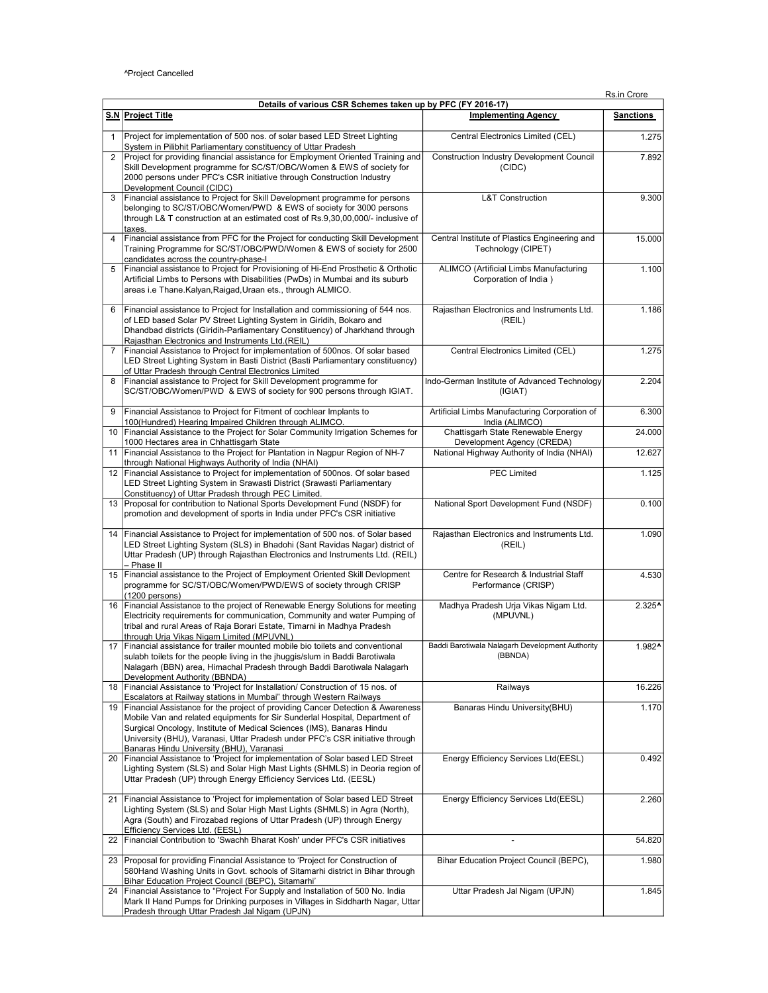|                | Details of various CSR Schemes taken up by PFC (FY 2016-17)                                                                                                                                                                                                                                                                                                        |                                                                     |                    |  |
|----------------|--------------------------------------------------------------------------------------------------------------------------------------------------------------------------------------------------------------------------------------------------------------------------------------------------------------------------------------------------------------------|---------------------------------------------------------------------|--------------------|--|
|                | S.N Project Title                                                                                                                                                                                                                                                                                                                                                  | <b>Implementing Agency</b>                                          | <b>Sanctions</b>   |  |
| $\mathbf{1}$   | Project for implementation of 500 nos. of solar based LED Street Lighting<br>System in Pilibhit Parliamentary constituency of Uttar Pradesh                                                                                                                                                                                                                        | Central Electronics Limited (CEL)                                   | 1.275              |  |
| 2              | Project for providing financial assistance for Employment Oriented Training and<br>Skill Development programme for SC/ST/OBC/Women & EWS of society for<br>2000 persons under PFC's CSR initiative through Construction Industry<br>Development Council (CIDC)                                                                                                     | <b>Construction Industry Development Council</b><br>(CIDC)          | 7.892              |  |
| 3              | Financial assistance to Project for Skill Development programme for persons<br>belonging to SC/ST/OBC/Women/PWD & EWS of society for 3000 persons<br>through L& T construction at an estimated cost of Rs.9,30,00,000/- inclusive of<br>taxes.                                                                                                                     | <b>L&amp;T Construction</b>                                         | 9.300              |  |
| 4              | Financial assistance from PFC for the Project for conducting Skill Development<br>Training Programme for SC/ST/OBC/PWD/Women & EWS of society for 2500<br>candidates across the country-phase-I                                                                                                                                                                    | Central Institute of Plastics Engineering and<br>Technology (CIPET) | 15.000             |  |
| 5              | Financial assistance to Project for Provisioning of Hi-End Prosthetic & Orthotic<br>Artificial Limbs to Persons with Disabilities (PwDs) in Mumbai and its suburb<br>areas i.e Thane. Kalyan, Raigad, Uraan ets., through ALMICO.                                                                                                                                  | ALIMCO (Artificial Limbs Manufacturing<br>Corporation of India)     | 1.100              |  |
| 6              | Financial assistance to Project for Installation and commissioning of 544 nos.<br>of LED based Solar PV Street Lighting System in Giridih, Bokaro and<br>Dhandbad districts (Giridih-Parliamentary Constituency) of Jharkhand through<br>Rajasthan Electronics and Instruments Ltd.(REIL)                                                                          | Rajasthan Electronics and Instruments Ltd.<br>(REIL)                | 1.186              |  |
| $\overline{7}$ | Financial Assistance to Project for implementation of 500nos. Of solar based<br>LED Street Lighting System in Basti District (Basti Parliamentary constituency)<br>of Uttar Pradesh through Central Electronics Limited                                                                                                                                            | Central Electronics Limited (CEL)                                   | 1.275              |  |
| 8              | Financial assistance to Project for Skill Development programme for<br>SC/ST/OBC/Women/PWD & EWS of society for 900 persons through IGIAT.                                                                                                                                                                                                                         | Indo-German Institute of Advanced Technology<br>(IGIAT)             | 2.204              |  |
| 9              | Financial Assistance to Project for Fitment of cochlear Implants to<br>100(Hundred) Hearing Impaired Children through ALIMCO.                                                                                                                                                                                                                                      | Artificial Limbs Manufacturing Corporation of<br>India (ALIMCO)     | 6.300              |  |
| 10             | Financial Assistance to the Project for Solar Community Irrigation Schemes for<br>1000 Hectares area in Chhattisgarh State                                                                                                                                                                                                                                         | Chattisgarh State Renewable Energy<br>Development Agency (CREDA)    | 24.000             |  |
| 11             | Financial Assistance to the Project for Plantation in Nagpur Region of NH-7<br>through National Highways Authority of India (NHAI)                                                                                                                                                                                                                                 | National Highway Authority of India (NHAI)                          | 12.627             |  |
| 12             | Financial Assistance to Project for implementation of 500nos. Of solar based<br>LED Street Lighting System in Srawasti District (Srawasti Parliamentary<br>Constituency) of Uttar Pradesh through PEC Limited.                                                                                                                                                     | <b>PEC Limited</b>                                                  | 1.125              |  |
| 13             | Proposal for contribution to National Sports Development Fund (NSDF) for<br>promotion and development of sports in India under PFC's CSR initiative                                                                                                                                                                                                                | National Sport Development Fund (NSDF)                              | 0.100              |  |
| 14             | Financial Assistance to Project for implementation of 500 nos. of Solar based<br>LED Street Lighting System (SLS) in Bhadohi (Sant Ravidas Nagar) district of<br>Uttar Pradesh (UP) through Rajasthan Electronics and Instruments Ltd. (REIL)<br>– Phase II                                                                                                        | Rajasthan Electronics and Instruments Ltd.<br>(REIL)                | 1.090              |  |
| 15             | Financial assistance to the Project of Employment Oriented Skill Devlopment<br>programme for SC/ST/OBC/Women/PWD/EWS of society through CRISP<br>(1200 persons)                                                                                                                                                                                                    | Centre for Research & Industrial Staff<br>Performance (CRISP)       | 4.530              |  |
| 16             | Financial Assistance to the project of Renewable Energy Solutions for meeting<br>Electricity requirements for communication, Community and water Pumping of<br>tribal and rural Areas of Raja Borari Estate, Timarni in Madhya Pradesh<br>through Urja Vikas Nigam Limited (MPUVNL)                                                                                | Madhya Pradesh Urja Vikas Nigam Ltd.<br>(MPUVNL)                    | 2.325 <sup>4</sup> |  |
| 17             | Financial assistance for trailer mounted mobile bio toilets and conventional<br>sulabh toilets for the people living in the jhuggis/slum in Baddi Barotiwala<br>Nalagarh (BBN) area, Himachal Pradesh through Baddi Barotiwala Nalagarh<br>Development Authority (BBNDA)                                                                                           | Baddi Barotiwala Nalagarh Development Authority<br>(BBNDA)          | 1.982^             |  |
| 18             | Financial Assistance to 'Project for Installation/ Construction of 15 nos. of<br>Escalators at Railway stations in Mumbai" through Western Railways                                                                                                                                                                                                                | Railways                                                            | 16.226             |  |
| 19             | Financial Assistance for the project of providing Cancer Detection & Awareness<br>Mobile Van and related equipments for Sir Sunderlal Hospital, Department of<br>Surgical Oncology, Institute of Medical Sciences (IMS), Banaras Hindu<br>University (BHU), Varanasi, Uttar Pradesh under PFC's CSR initiative through<br>Banaras Hindu University (BHU), Varanasi | Banaras Hindu University(BHU)                                       | 1.170              |  |
| 20             | Financial Assistance to 'Project for implementation of Solar based LED Street<br>Lighting System (SLS) and Solar High Mast Lights (SHMLS) in Deoria region of<br>Uttar Pradesh (UP) through Energy Efficiency Services Ltd. (EESL)                                                                                                                                 | Energy Efficiency Services Ltd(EESL)                                | 0.492              |  |
| 21             | Financial Assistance to 'Project for implementation of Solar based LED Street<br>Lighting System (SLS) and Solar High Mast Lights (SHMLS) in Agra (North),<br>Agra (South) and Firozabad regions of Uttar Pradesh (UP) through Energy<br>Efficiency Services Ltd. (EESL)                                                                                           | Energy Efficiency Services Ltd(EESL)                                | 2.260              |  |
| 22             | Financial Contribution to 'Swachh Bharat Kosh' under PFC's CSR initiatives                                                                                                                                                                                                                                                                                         |                                                                     | 54.820             |  |
| 23             | Proposal for providing Financial Assistance to 'Project for Construction of<br>580Hand Washing Units in Govt. schools of Sitamarhi district in Bihar through<br>Bihar Education Project Council (BEPC), Sitamarhi'                                                                                                                                                 | Bihar Education Project Council (BEPC),                             | 1.980              |  |
| 24             | Financial Assistance to "Project For Supply and Installation of 500 No. India<br>Mark II Hand Pumps for Drinking purposes in Villages in Siddharth Nagar, Uttar<br>Pradesh through Uttar Pradesh Jal Nigam (UPJN)                                                                                                                                                  | Uttar Pradesh Jal Nigam (UPJN)                                      | 1.845              |  |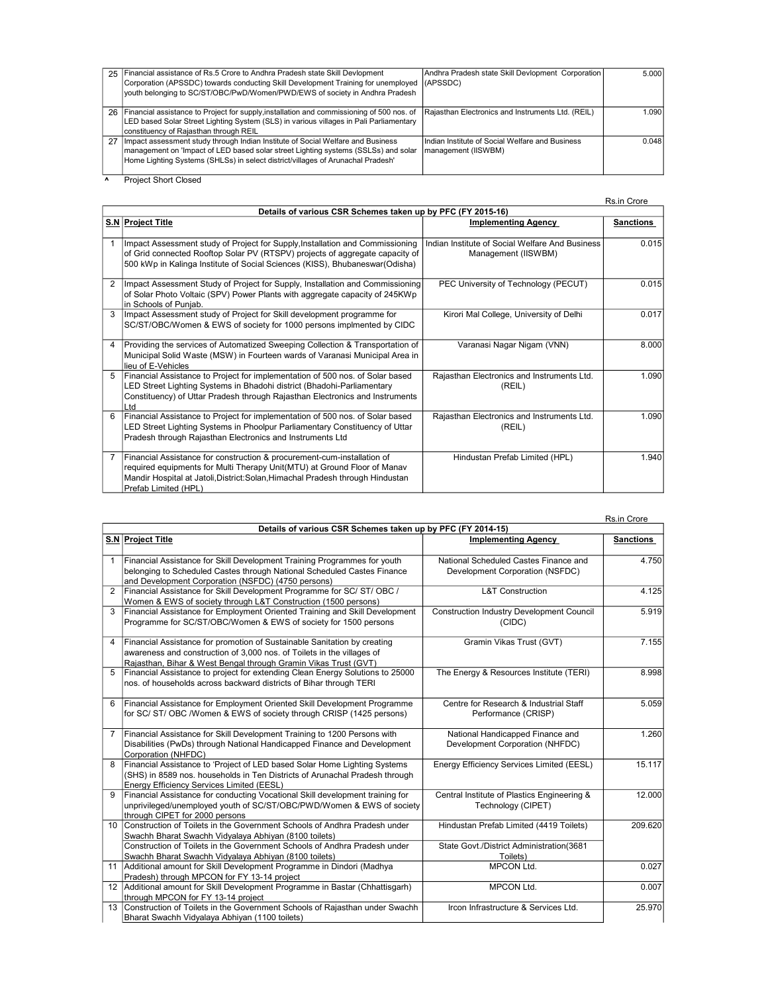|    | 25 Financial assistance of Rs.5 Crore to Andhra Pradesh state Skill Devlopment<br>Corporation (APSSDC) towards conducting Skill Development Training for unemployed<br>vouth belonging to SC/ST/OBC/PwD/Women/PWD/EWS of society in Andhra Pradesh       | Andhra Pradesh state Skill Devlopment Corporation<br>(APSSDC)          | 5.0001             |
|----|----------------------------------------------------------------------------------------------------------------------------------------------------------------------------------------------------------------------------------------------------------|------------------------------------------------------------------------|--------------------|
|    | 26   Financial assistance to Project for supply, installation and commissioning of 500 nos. of<br>LED based Solar Street Lighting System (SLS) in various villages in Pali Parliamentary<br>constituency of Rajasthan through REIL                       | Rajasthan Electronics and Instruments Ltd. (REIL)                      | 1.090 <sup>1</sup> |
| 27 | Impact assessment study through Indian Institute of Social Welfare and Business<br>management on 'Impact of LED based solar street Lighting systems (SSLSs) and solar<br>Home Lighting Systems (SHLSs) in select district/villages of Arunachal Pradesh' | Indian Institute of Social Welfare and Business<br>management (IISWBM) | 0.048              |

**A** Project Short Closed

Rs.in Crore

|                | Details of various CSR Schemes taken up by PFC (FY 2015-16)                                                                                                                                                                                                   |                                                                        |                  |  |
|----------------|---------------------------------------------------------------------------------------------------------------------------------------------------------------------------------------------------------------------------------------------------------------|------------------------------------------------------------------------|------------------|--|
|                | S.N Project Title                                                                                                                                                                                                                                             | <b>Implementing Agency</b>                                             | <b>Sanctions</b> |  |
|                | Impact Assessment study of Project for Supply, Installation and Commissioning<br>of Grid connected Rooftop Solar PV (RTSPV) projects of aggregate capacity of<br>500 kWp in Kalinga Institute of Social Sciences (KISS), Bhubaneswar(Odisha)                  | Indian Institute of Social Welfare And Business<br>Management (IISWBM) | 0.015            |  |
| $\overline{2}$ | Impact Assessment Study of Project for Supply, Installation and Commissioning<br>of Solar Photo Voltaic (SPV) Power Plants with aggregate capacity of 245KWp<br>in Schools of Puniab.                                                                         | PEC University of Technology (PECUT)                                   | 0.015            |  |
| 3              | Impact Assessment study of Project for Skill development programme for<br>SC/ST/OBC/Women & EWS of society for 1000 persons implmented by CIDC                                                                                                                | Kirori Mal College, University of Delhi                                | 0.017            |  |
| 4              | Providing the services of Automatized Sweeping Collection & Transportation of<br>Municipal Solid Waste (MSW) in Fourteen wards of Varanasi Municipal Area in<br>lieu of E-Vehicles                                                                            | Varanasi Nagar Nigam (VNN)                                             | 8.000            |  |
| 5              | Financial Assistance to Project for implementation of 500 nos. of Solar based<br>LED Street Lighting Systems in Bhadohi district (Bhadohi-Parliamentary<br>Constituency) of Uttar Pradesh through Rajasthan Electronics and Instruments<br>Ltd                | Rajasthan Electronics and Instruments Ltd.<br>(REIL)                   | 1.090            |  |
| 6              | Financial Assistance to Project for implementation of 500 nos. of Solar based<br>LED Street Lighting Systems in Phoolpur Parliamentary Constituency of Uttar<br>Pradesh through Rajasthan Electronics and Instruments Ltd                                     | Rajasthan Electronics and Instruments Ltd.<br>(REIL)                   | 1.090            |  |
|                | Financial Assistance for construction & procurement-cum-installation of<br>required equipments for Multi Therapy Unit(MTU) at Ground Floor of Manav<br>Mandir Hospital at Jatoli, District: Solan, Himachal Pradesh through Hindustan<br>Prefab Limited (HPL) | Hindustan Prefab Limited (HPL)                                         | 1.940            |  |

|                                                             |                                                                                                  |                                                  | Rs.in Crore      |
|-------------------------------------------------------------|--------------------------------------------------------------------------------------------------|--------------------------------------------------|------------------|
| Details of various CSR Schemes taken up by PFC (FY 2014-15) |                                                                                                  |                                                  |                  |
|                                                             | S.N Project Title                                                                                | <b>Implementing Agency</b>                       | <b>Sanctions</b> |
|                                                             |                                                                                                  |                                                  |                  |
| 1                                                           | Financial Assistance for Skill Development Training Programmes for youth                         | National Scheduled Castes Finance and            | 4.750            |
|                                                             | belonging to Scheduled Castes through National Scheduled Castes Finance                          | Development Corporation (NSFDC)                  |                  |
|                                                             | and Development Corporation (NSFDC) (4750 persons)                                               |                                                  |                  |
| $\overline{2}$                                              | Financial Assistance for Skill Development Programme for SC/ ST/ OBC /                           | <b>L&amp;T Construction</b>                      | 4.125            |
|                                                             | Women & EWS of society through L&T Construction (1500 persons)                                   |                                                  |                  |
| 3                                                           | Financial Assistance for Employment Oriented Training and Skill Development                      | <b>Construction Industry Development Council</b> | 5.919            |
|                                                             | Programme for SC/ST/OBC/Women & EWS of society for 1500 persons                                  | (CIDC)                                           |                  |
|                                                             |                                                                                                  |                                                  |                  |
| 4                                                           | Financial Assistance for promotion of Sustainable Sanitation by creating                         | Gramin Vikas Trust (GVT)                         | 7.155            |
|                                                             | awareness and construction of 3,000 nos. of Toilets in the villages of                           |                                                  |                  |
|                                                             | Rajasthan, Bihar & West Bengal through Gramin Vikas Trust (GVT)                                  |                                                  |                  |
| 5                                                           | Financial Assistance to project for extending Clean Energy Solutions to 25000                    | The Energy & Resources Institute (TERI)          | 8.998            |
|                                                             | nos. of households across backward districts of Bihar through TERI                               |                                                  |                  |
|                                                             |                                                                                                  |                                                  |                  |
| 6                                                           | Financial Assistance for Employment Oriented Skill Development Programme                         | Centre for Research & Industrial Staff           | 5.059            |
|                                                             | for SC/ ST/ OBC /Women & EWS of society through CRISP (1425 persons)                             | Performance (CRISP)                              |                  |
| $\overline{7}$                                              | Financial Assistance for Skill Development Training to 1200 Persons with                         | National Handicapped Finance and                 | 1.260            |
|                                                             |                                                                                                  |                                                  |                  |
|                                                             | Disabilities (PwDs) through National Handicapped Finance and Development                         | Development Corporation (NHFDC)                  |                  |
| 8                                                           | Corporation (NHFDC)<br>Financial Assistance to 'Project of LED based Solar Home Lighting Systems | Energy Efficiency Services Limited (EESL)        | 15.117           |
|                                                             | (SHS) in 8589 nos. households in Ten Districts of Arunachal Pradesh through                      |                                                  |                  |
|                                                             | <b>Energy Efficiency Services Limited (EESL)</b>                                                 |                                                  |                  |
| 9                                                           | Financial Assistance for conducting Vocational Skill development training for                    | Central Institute of Plastics Engineering &      | 12.000           |
|                                                             | unprivileged/unemployed youth of SC/ST/OBC/PWD/Women & EWS of society                            | Technology (CIPET)                               |                  |
|                                                             | through CIPET for 2000 persons                                                                   |                                                  |                  |
| 10                                                          | Construction of Toilets in the Government Schools of Andhra Pradesh under                        | Hindustan Prefab Limited (4419 Toilets)          | 209.620          |
|                                                             | Swachh Bharat Swachh Vidyalaya Abhiyan (8100 toilets)                                            |                                                  |                  |
|                                                             | Construction of Toilets in the Government Schools of Andhra Pradesh under                        | State Govt./District Administration(3681         |                  |
|                                                             | Swachh Bharat Swachh Vidyalaya Abhiyan (8100 toilets)                                            | Toilets)                                         |                  |
| 11                                                          | Additional amount for Skill Development Programme in Dindori (Madhya                             | MPCON Ltd.                                       | 0.027            |
|                                                             | Pradesh) through MPCON for FY 13-14 project                                                      |                                                  |                  |
|                                                             | 12 Additional amount for Skill Development Programme in Bastar (Chhattisgarh)                    | MPCON Ltd.                                       | 0.007            |
|                                                             | through MPCON for FY 13-14 project                                                               |                                                  |                  |
|                                                             | 13 Construction of Toilets in the Government Schools of Rajasthan under Swachh                   | Ircon Infrastructure & Services Ltd.             | 25.970           |
|                                                             | Bharat Swachh Vidyalaya Abhiyan (1100 toilets)                                                   |                                                  |                  |
|                                                             |                                                                                                  |                                                  |                  |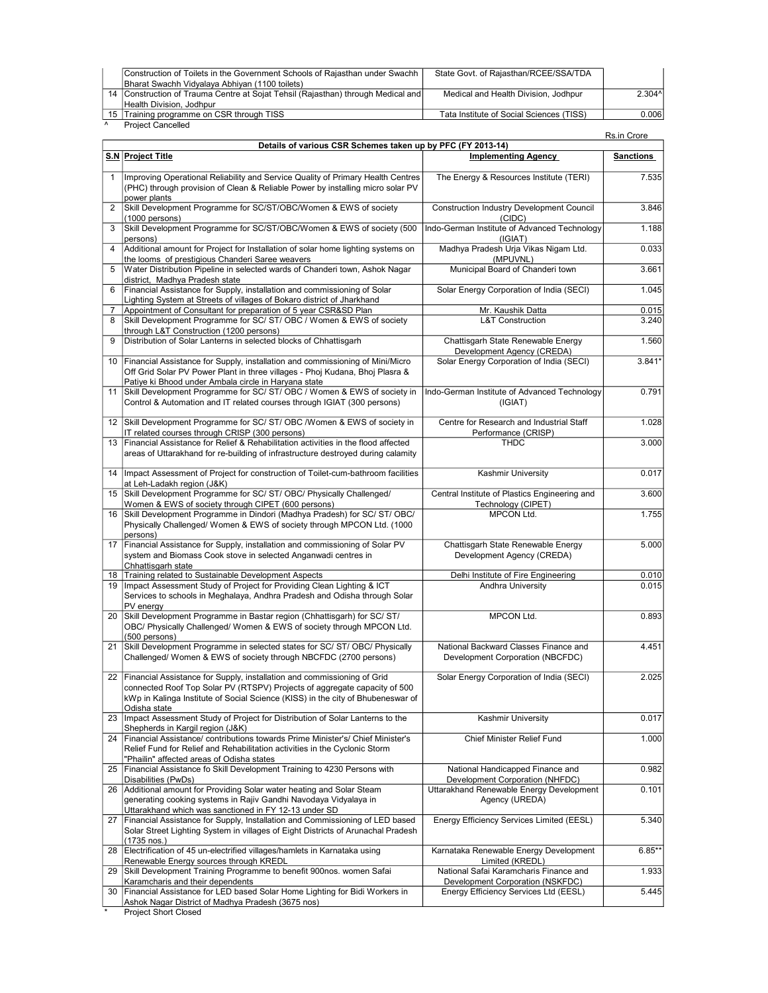| Construction of Toilets in the Government Schools of Rajasthan under Swachh        | State Govt. of Rajasthan/RCEE/SSA/TDA    |          |
|------------------------------------------------------------------------------------|------------------------------------------|----------|
| Bharat Swachh Vidyalaya Abhiyan (1100 toilets)                                     |                                          |          |
| [14] Construction of Trauma Centre at Sojat Tehsil (Rajasthan) through Medical and | Medical and Health Division, Jodhpur     | $2.304^$ |
| Health Division, Jodhpur                                                           |                                          |          |
| 15 Training programme on CSR through TISS                                          | Tata Institute of Social Sciences (TISS) | 0.0061   |
| <b>Project Cancelled</b>                                                           |                                          |          |

|                |                                                                                                                                                                                                                                                         |                                                                            | Rs.in Crore      |
|----------------|---------------------------------------------------------------------------------------------------------------------------------------------------------------------------------------------------------------------------------------------------------|----------------------------------------------------------------------------|------------------|
|                | Details of various CSR Schemes taken up by PFC (FY 2013-14)                                                                                                                                                                                             |                                                                            |                  |
|                | <b>S.N Project Title</b>                                                                                                                                                                                                                                | <b>Implementing Agency</b>                                                 | <b>Sanctions</b> |
| $\mathbf{1}$   | Improving Operational Reliability and Service Quality of Primary Health Centres<br>(PHC) through provision of Clean & Reliable Power by installing micro solar PV<br>power plants                                                                       | The Energy & Resources Institute (TERI)                                    | 7.535            |
| $\overline{2}$ | Skill Development Programme for SC/ST/OBC/Women & EWS of society<br>(1000 persons)                                                                                                                                                                      | <b>Construction Industry Development Council</b><br>(CIDC)                 | 3.846            |
| 3              | Skill Development Programme for SC/ST/OBC/Women & EWS of society (500<br>persons)                                                                                                                                                                       | Indo-German Institute of Advanced Technology<br>(IGIAT)                    | 1.188            |
| 4              | Additional amount for Project for Installation of solar home lighting systems on<br>the looms of prestigious Chanderi Saree weavers                                                                                                                     | Madhya Pradesh Urja Vikas Nigam Ltd.<br>(MPUVNL)                           | 0.033            |
| 5              | Water Distribution Pipeline in selected wards of Chanderi town, Ashok Nagar<br>district, Madhya Pradesh state                                                                                                                                           | Municipal Board of Chanderi town                                           | 3.661            |
| 6              | Financial Assistance for Supply, installation and commissioning of Solar<br>Lighting System at Streets of villages of Bokaro district of Jharkhand                                                                                                      | Solar Energy Corporation of India (SECI)                                   | 1.045            |
| 7              | Appointment of Consultant for preparation of 5 year CSR&SD Plan                                                                                                                                                                                         | Mr. Kaushik Datta                                                          | 0.015            |
| 8              | Skill Development Programme for SC/ ST/ OBC / Women & EWS of society<br>through L&T Construction (1200 persons)                                                                                                                                         | <b>L&amp;T Construction</b>                                                | 3.240            |
| 9              | Distribution of Solar Lanterns in selected blocks of Chhattisgarh                                                                                                                                                                                       | Chattisgarh State Renewable Energy<br>Development Agency (CREDA)           | 1.560            |
| 10             | Financial Assistance for Supply, installation and commissioning of Mini/Micro<br>Off Grid Solar PV Power Plant in three villages - Phoj Kudana, Bhoj Plasra &<br>Patiye ki Bhood under Ambala circle in Haryana state                                   | Solar Energy Corporation of India (SECI)                                   | $3.841*$         |
| 11             | Skill Development Programme for SC/ ST/ OBC / Women & EWS of society in<br>Control & Automation and IT related courses through IGIAT (300 persons)                                                                                                      | Indo-German Institute of Advanced Technology<br>(IGIAT)                    | 0.791            |
| 12             | Skill Development Programme for SC/ ST/ OBC / Women & EWS of society in<br>IT related courses through CRISP (300 persons)                                                                                                                               | Centre for Research and Industrial Staff<br>Performance (CRISP)            | 1.028            |
| 13             | Financial Assistance for Relief & Rehabilitation activities in the flood affected<br>areas of Uttarakhand for re-building of infrastructure destroyed during calamity                                                                                   | <b>THDC</b>                                                                | 3.000            |
| 14             | Impact Assessment of Project for construction of Toilet-cum-bathroom facilities<br>at Leh-Ladakh region (J&K)                                                                                                                                           | Kashmir University                                                         | 0.017            |
| 15             | Skill Development Programme for SC/ ST/ OBC/ Physically Challenged/<br>Women & EWS of society through CIPET (600 persons)                                                                                                                               | Central Institute of Plastics Engineering and<br>Technology (CIPET)        | 3.600            |
| 16             | Skill Development Programme in Dindori (Madhya Pradesh) for SC/ ST/ OBC/<br>Physically Challenged/ Women & EWS of society through MPCON Ltd. (1000<br>persons)                                                                                          | <b>MPCON Ltd.</b>                                                          | 1.755            |
| 17             | Financial Assistance for Supply, installation and commissioning of Solar PV<br>system and Biomass Cook stove in selected Anganwadi centres in<br>Chhattisgarh state                                                                                     | Chattisgarh State Renewable Energy<br>Development Agency (CREDA)           | 5.000            |
| 18             | Training related to Sustainable Development Aspects                                                                                                                                                                                                     | Delhi Institute of Fire Engineering                                        | 0.010            |
| 19             | Impact Assessment Study of Project for Providing Clean Lighting & ICT<br>Services to schools in Meghalaya, Andhra Pradesh and Odisha through Solar<br>PV energy                                                                                         | Andhra University                                                          | 0.015            |
| 20             | Skill Development Programme in Bastar region (Chhattisgarh) for SC/ ST/<br>OBC/ Physically Challenged/ Women & EWS of society through MPCON Ltd.<br>(500 persons)                                                                                       | MPCON Ltd.                                                                 | 0.893            |
| 21             | Skill Development Programme in selected states for SC/ ST/ OBC/ Physically<br>Challenged/ Women & EWS of society through NBCFDC (2700 persons)                                                                                                          | National Backward Classes Finance and<br>Development Corporation (NBCFDC)  | 4.451            |
| 22             | Financial Assistance for Supply, installation and commissioning of Grid<br>connected Roof Top Solar PV (RTSPV) Projects of aggregate capacity of 500<br>kWp in Kalinga Institute of Social Science (KISS) in the city of Bhubeneswar of<br>Odisha state | Solar Energy Corporation of India (SECI)                                   | 2.025            |
| 23             | Impact Assessment Study of Project for Distribution of Solar Lanterns to the<br>Shepherds in Kargil region (J&K)                                                                                                                                        | <b>Kashmir University</b>                                                  | 0.017            |
| 24             | Financial Assistance/ contributions towards Prime Minister's/ Chief Minister's<br>Relief Fund for Relief and Rehabilitation activities in the Cyclonic Storm<br>"Phailin" affected areas of Odisha states                                               | Chief Minister Relief Fund                                                 | 1.000            |
| 25             | Financial Assistance fo Skill Development Training to 4230 Persons with<br>Disabilities (PwDs)                                                                                                                                                          | National Handicapped Finance and<br>Development Corporation (NHFDC)        | 0.982            |
| 26             | Additional amount for Providing Solar water heating and Solar Steam<br>generating cooking systems in Rajiv Gandhi Navodaya Vidyalaya in<br>Uttarakhand which was sanctioned in FY 12-13 under SD                                                        | Uttarakhand Renewable Energy Development<br>Agency (UREDA)                 | 0.101            |
| 27             | Financial Assistance for Supply, Installation and Commissioning of LED based<br>Solar Street Lighting System in villages of Eight Districts of Arunachal Pradesh<br>(1735 nos.)                                                                         | <b>Energy Efficiency Services Limited (EESL)</b>                           | 5.340            |
| 28             | Electrification of 45 un-electrified villages/hamlets in Karnataka using<br>Renewable Energy sources through KREDL                                                                                                                                      | Karnataka Renewable Energy Development<br>Limited (KREDL)                  | $6.85**$         |
| 29             | Skill Development Training Programme to benefit 900nos. women Safai<br>Karamcharis and their dependents                                                                                                                                                 | National Safai Karamcharis Finance and<br>Development Corporation (NSKFDC) | 1.933            |
| 30             | Financial Assistance for LED based Solar Home Lighting for Bidi Workers in<br>Ashok Nagar District of Madhya Pradesh (3675 nos)                                                                                                                         | Energy Efficiency Services Ltd (EESL)                                      | 5.445            |

\* Project Short Closed